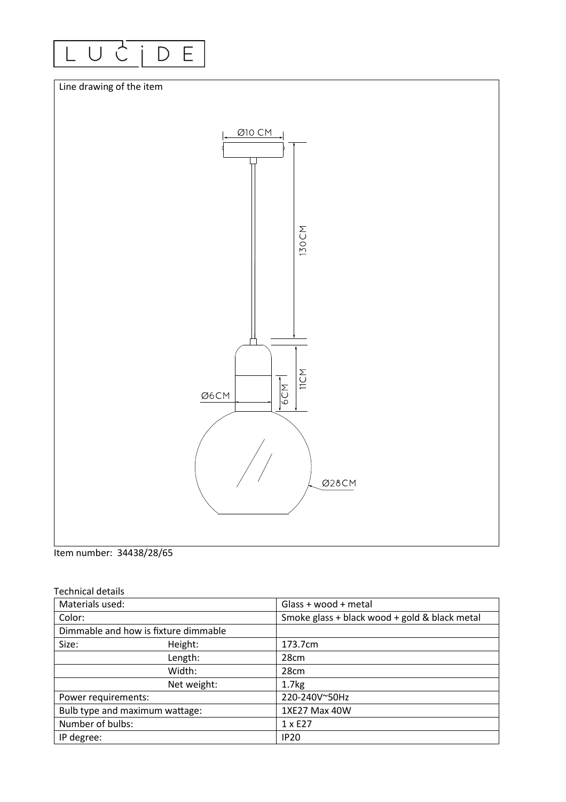



Item number: 34438/28/65

| <b>Technical details</b> |  |
|--------------------------|--|
|--------------------------|--|

| Materials used:                      |             | Glass + wood + metal                          |
|--------------------------------------|-------------|-----------------------------------------------|
| Color:                               |             | Smoke glass + black wood + gold & black metal |
| Dimmable and how is fixture dimmable |             |                                               |
| Size:                                | Height:     | 173.7cm                                       |
|                                      | Length:     | 28cm                                          |
|                                      | Width:      | 28cm                                          |
|                                      | Net weight: | 1.7 <sub>kg</sub>                             |
| Power requirements:                  |             | 220-240V~50Hz                                 |
| Bulb type and maximum wattage:       |             | 1XE27 Max 40W                                 |
| Number of bulbs:                     |             | 1 x E27                                       |
| IP degree:                           |             | <b>IP20</b>                                   |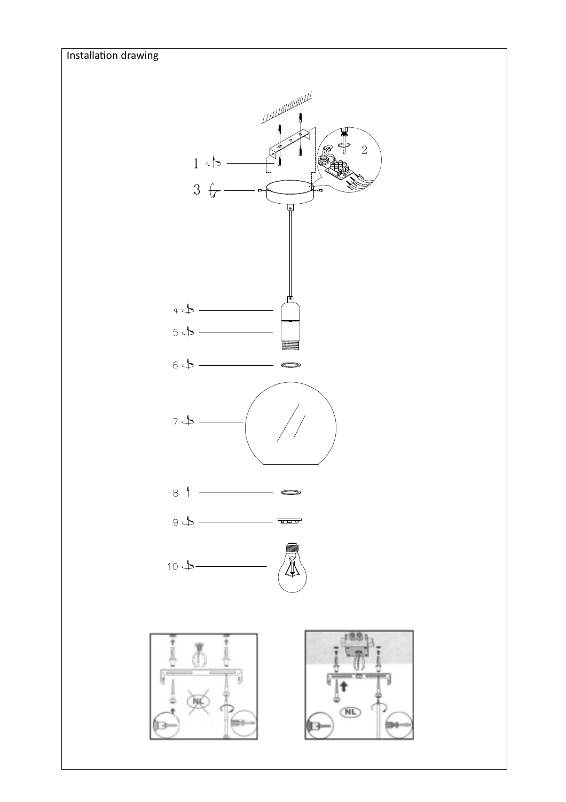